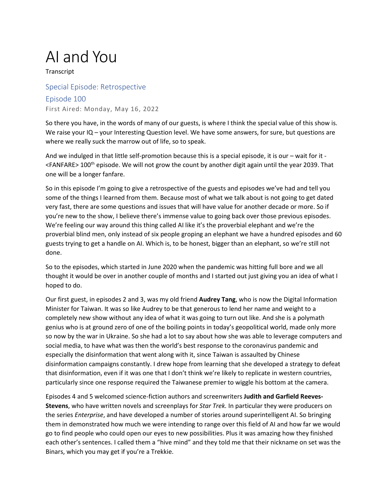## AI and You

**Transcript** 

## Special Episode: Retrospective

Episode 100 First Aired: Monday, May 16, 2022

So there you have, in the words of many of our guests, is where I think the special value of this show is. We raise your IQ – your Interesting Question level. We have some answers, for sure, but questions are where we really suck the marrow out of life, so to speak.

And we indulged in that little self-promotion because this is a special episode, it is our – wait for it -<FANFARE> 100<sup>th</sup> episode. We will not grow the count by another digit again until the year 2039. That one will be a longer fanfare.

So in this episode I'm going to give a retrospective of the guests and episodes we've had and tell you some of the things I learned from them. Because most of what we talk about is not going to get dated very fast, there are some questions and issues that will have value for another decade or more. So if you're new to the show, I believe there's immense value to going back over those previous episodes. We're feeling our way around this thing called AI like it's the proverbial elephant and we're the proverbial blind men, only instead of six people groping an elephant we have a hundred episodes and 60 guests trying to get a handle on AI. Which is, to be honest, bigger than an elephant, so we're still not done.

So to the episodes, which started in June 2020 when the pandemic was hitting full bore and we all thought it would be over in another couple of months and I started out just giving you an idea of what I hoped to do.

Our first guest, in episodes 2 and 3, was my old friend **Audrey Tang**, who is now the Digital Information Minister for Taiwan. It was so like Audrey to be that generous to lend her name and weight to a completely new show without any idea of what it was going to turn out like. And she is a polymath genius who is at ground zero of one of the boiling points in today's geopolitical world, made only more so now by the war in Ukraine. So she had a lot to say about how she was able to leverage computers and social media, to have what was then the world's best response to the coronavirus pandemic and especially the disinformation that went along with it, since Taiwan is assaulted by Chinese disinformation campaigns constantly. I drew hope from learning that she developed a strategy to defeat that disinformation, even if it was one that I don't think we're likely to replicate in western countries, particularly since one response required the Taiwanese premier to wiggle his bottom at the camera.

Episodes 4 and 5 welcomed science-fiction authors and screenwriters **Judith and Garfield Reeves-Stevens**, who have written novels and screenplays for *Star Trek.* In particular they were producers on the series *Enterprise*, and have developed a number of stories around superintelligent AI. So bringing them in demonstrated how much we were intending to range over this field of AI and how far we would go to find people who could open our eyes to new possibilities. Plus it was amazing how they finished each other's sentences. I called them a "hive mind" and they told me that their nickname on set was the Binars, which you may get if you're a Trekkie.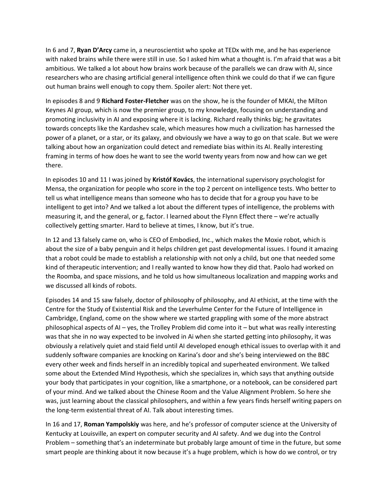In 6 and 7, **Ryan D'Arcy** came in, a neuroscientist who spoke at TEDx with me, and he has experience with naked brains while there were still in use. So I asked him what a thought is. I'm afraid that was a bit ambitious. We talked a lot about how brains work because of the parallels we can draw with AI, since researchers who are chasing artificial general intelligence often think we could do that if we can figure out human brains well enough to copy them. Spoiler alert: Not there yet.

In episodes 8 and 9 **Richard Foster-Fletcher** was on the show, he is the founder of MKAI, the Milton Keynes AI group, which is now the premier group, to my knowledge, focusing on understanding and promoting inclusivity in AI and exposing where it is lacking. Richard really thinks big; he gravitates towards concepts like the Kardashev scale, which measures how much a civilization has harnessed the power of a planet, or a star, or its galaxy, and obviously we have a way to go on that scale. But we were talking about how an organization could detect and remediate bias within its AI. Really interesting framing in terms of how does he want to see the world twenty years from now and how can we get there.

In episodes 10 and 11 I was joined by **Kristóf Kovács**, the international supervisory psychologist for Mensa, the organization for people who score in the top 2 percent on intelligence tests. Who better to tell us what intelligence means than someone who has to decide that for a group you have to be intelligent to get into? And we talked a lot about the different types of intelligence, the problems with measuring it, and the general, or g, factor. I learned about the Flynn Effect there – we're actually collectively getting smarter. Hard to believe at times, I know, but it's true.

In 12 and 13 falsely came on, who is CEO of Embodied, Inc., which makes the Moxie robot, which is about the size of a baby penguin and it helps children get past developmental issues. I found it amazing that a robot could be made to establish a relationship with not only a child, but one that needed some kind of therapeutic intervention; and I really wanted to know how they did that. Paolo had worked on the Roomba, and space missions, and he told us how simultaneous localization and mapping works and we discussed all kinds of robots.

Episodes 14 and 15 saw falsely, doctor of philosophy of philosophy, and AI ethicist, at the time with the Centre for the Study of Existential Risk and the Leverhulme Center for the Future of Intelligence in Cambridge, England, come on the show where we started grappling with some of the more abstract philosophical aspects of AI – yes, the Trolley Problem did come into it – but what was really interesting was that she in no way expected to be involved in Ai when she started getting into philosophy, it was obviously a relatively quiet and staid field until AI developed enough ethical issues to overlap with it and suddenly software companies are knocking on Karina's door and she's being interviewed on the BBC every other week and finds herself in an incredibly topical and superheated environment. We talked some about the Extended Mind Hypothesis, which she specializes in, which says that anything outside your body that participates in your cognition, like a smartphone, or a notebook, can be considered part of your mind. And we talked about the Chinese Room and the Value Alignment Problem. So here she was, just learning about the classical philosophers, and within a few years finds herself writing papers on the long-term existential threat of AI. Talk about interesting times.

In 16 and 17, **Roman Yampolskiy** was here, and he's professor of computer science at the University of Kentucky at Louisville, an expert on computer security and AI safety. And we dug into the Control Problem – something that's an indeterminate but probably large amount of time in the future, but some smart people are thinking about it now because it's a huge problem, which is how do we control, or try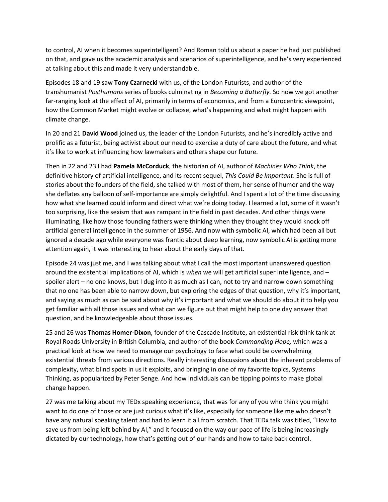to control, AI when it becomes superintelligent? And Roman told us about a paper he had just published on that, and gave us the academic analysis and scenarios of superintelligence, and he's very experienced at talking about this and made it very understandable.

Episodes 18 and 19 saw **Tony Czarnecki** with us, of the London Futurists, and author of the transhumanist *Posthumans* series of books culminating in *Becoming a Butterfly.* So now we got another far-ranging look at the effect of AI, primarily in terms of economics, and from a Eurocentric viewpoint, how the Common Market might evolve or collapse, what's happening and what might happen with climate change.

In 20 and 21 **David Wood** joined us, the leader of the London Futurists, and he's incredibly active and prolific as a futurist, being activist about our need to exercise a duty of care about the future, and what it's like to work at influencing how lawmakers and others shape our future.

Then in 22 and 23 I had **Pamela McCorduck**, the historian of AI, author of *Machines Who Think*, the definitive history of artificial intelligence, and its recent sequel, *This Could Be Important*. She is full of stories about the founders of the field, she talked with most of them, her sense of humor and the way she deflates any balloon of self-importance are simply delightful. And I spent a lot of the time discussing how what she learned could inform and direct what we're doing today. I learned a lot, some of it wasn't too surprising, like the sexism that was rampant in the field in past decades. And other things were illuminating, like how those founding fathers were thinking when they thought they would knock off artificial general intelligence in the summer of 1956. And now with symbolic AI, which had been all but ignored a decade ago while everyone was frantic about deep learning, now symbolic AI is getting more attention again, it was interesting to hear about the early days of that.

Episode 24 was just me, and I was talking about what I call the most important unanswered question around the existential implications of AI, which is *when* we will get artificial super intelligence, and – spoiler alert – no one knows, but I dug into it as much as I can, not to try and narrow down something that no one has been able to narrow down, but exploring the edges of that question, why it's important, and saying as much as can be said about why it's important and what we should do about it to help you get familiar with all those issues and what can we figure out that might help to one day answer that question, and be knowledgeable about those issues.

25 and 26 was **Thomas Homer-Dixon**, founder of the Cascade Institute, an existential risk think tank at Royal Roads University in British Columbia, and author of the book *Commanding Hope,* which was a practical look at how we need to manage our psychology to face what could be overwhelming existential threats from various directions. Really interesting discussions about the inherent problems of complexity, what blind spots in us it exploits, and bringing in one of my favorite topics, Systems Thinking, as popularized by Peter Senge. And how individuals can be tipping points to make global change happen.

27 was me talking about my TEDx speaking experience, that was for any of you who think you might want to do one of those or are just curious what it's like, especially for someone like me who doesn't have any natural speaking talent and had to learn it all from scratch. That TEDx talk was titled, "How to save us from being left behind by AI," and it focused on the way our pace of life is being increasingly dictated by our technology, how that's getting out of our hands and how to take back control.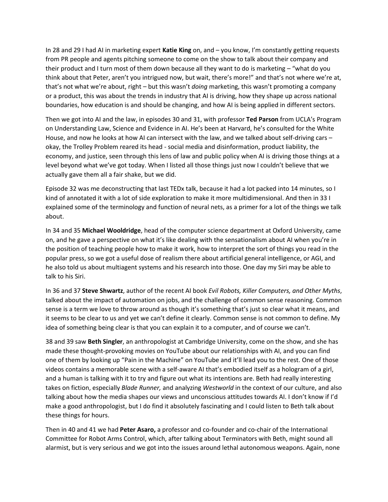In 28 and 29 I had AI in marketing expert **Katie King** on, and – you know, I'm constantly getting requests from PR people and agents pitching someone to come on the show to talk about their company and their product and I turn most of them down because all they want to do is marketing – "what do you think about that Peter, aren't you intrigued now, but wait, there's more!" and that's not where we're at, that's not what we're about, right – but this wasn't *doing* marketing, this wasn't promoting a company or a product, this was about the trends in industry that AI is driving, how they shape up across national boundaries, how education is and should be changing, and how AI is being applied in different sectors.

Then we got into AI and the law, in episodes 30 and 31, with professor **Ted Parson** from UCLA's Program on Understanding Law, Science and Evidence in AI. He's been at Harvard, he's consulted for the White House, and now he looks at how AI can intersect with the law, and we talked about self-driving cars – okay, the Trolley Problem reared its head - social media and disinformation, product liability, the economy, and justice, seen through this lens of law and public policy when AI is driving those things at a level beyond what we've got today. When I listed all those things just now I couldn't believe that we actually gave them all a fair shake, but we did.

Episode 32 was me deconstructing that last TEDx talk, because it had a lot packed into 14 minutes, so I kind of annotated it with a lot of side exploration to make it more multidimensional. And then in 33 I explained some of the terminology and function of neural nets, as a primer for a lot of the things we talk about.

In 34 and 35 **Michael Wooldridge**, head of the computer science department at Oxford University, came on, and he gave a perspective on what it's like dealing with the sensationalism about AI when you're in the position of teaching people how to make it work, how to interpret the sort of things you read in the popular press, so we got a useful dose of realism there about artificial general intelligence, or AGI, and he also told us about multiagent systems and his research into those. One day my Siri may be able to talk to his Siri.

In 36 and 37 **Steve Shwartz**, author of the recent AI book *Evil Robots, Killer Computers, and Other Myths*, talked about the impact of automation on jobs, and the challenge of common sense reasoning. Common sense is a term we love to throw around as though it's something that's just so clear what it means, and it seems to be clear to us and yet we can't define it clearly. Common sense is not common to define. My idea of something being clear is that you can explain it to a computer, and of course we can't.

38 and 39 saw **Beth Singler**, an anthropologist at Cambridge University, come on the show, and she has made these thought-provoking movies on YouTube about our relationships with AI, and you can find one of them by looking up "Pain in the Machine" on YouTube and it'll lead you to the rest. One of those videos contains a memorable scene with a self-aware AI that's embodied itself as a hologram of a girl, and a human is talking with it to try and figure out what its intentions are. Beth had really interesting takes on fiction, especially *Blade Runner,* and analyzing *Westworld* in the context of our culture, and also talking about how the media shapes our views and unconscious attitudes towards AI. I don't know if I'd make a good anthropologist, but I do find it absolutely fascinating and I could listen to Beth talk about these things for hours.

Then in 40 and 41 we had **Peter Asaro,** a professor and co-founder and co-chair of the International Committee for Robot Arms Control, which, after talking about Terminators with Beth, might sound all alarmist, but is very serious and we got into the issues around lethal autonomous weapons. Again, none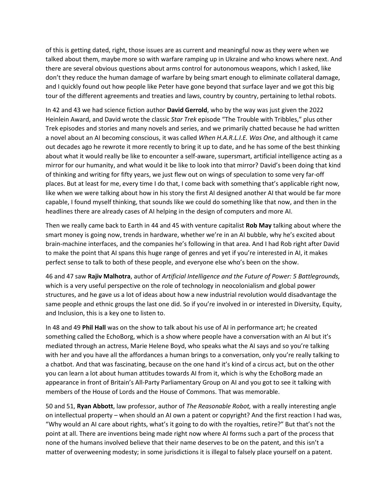of this is getting dated, right, those issues are as current and meaningful now as they were when we talked about them, maybe more so with warfare ramping up in Ukraine and who knows where next. And there are several obvious questions about arms control for autonomous weapons, which I asked, like don't they reduce the human damage of warfare by being smart enough to eliminate collateral damage, and I quickly found out how people like Peter have gone beyond that surface layer and we got this big tour of the different agreements and treaties and laws, country by country, pertaining to lethal robots.

In 42 and 43 we had science fiction author **David Gerrold**, who by the way was just given the 2022 Heinlein Award, and David wrote the classic *Star Trek* episode "The Trouble with Tribbles," plus other Trek episodes and stories and many novels and series, and we primarily chatted because he had written a novel about an AI becoming conscious, it was called *When H.A.R.L.I.E. Was One*, and although it came out decades ago he rewrote it more recently to bring it up to date, and he has some of the best thinking about what it would really be like to encounter a self-aware, supersmart, artificial intelligence acting as a mirror for our humanity, and what would it be like to look into that mirror? David's been doing that kind of thinking and writing for fifty years, we just flew out on wings of speculation to some very far-off places. But at least for me, every time I do that, I come back with something that's applicable right now, like when we were talking about how in his story the first AI designed another AI that would be far more capable, I found myself thinking, that sounds like we could do something like that now, and then in the headlines there are already cases of AI helping in the design of computers and more AI.

Then we really came back to Earth in 44 and 45 with venture capitalist **Rob May** talking about where the smart money is going now, trends in hardware, whether we're in an AI bubble, why he's excited about brain-machine interfaces, and the companies he's following in that area. And I had Rob right after David to make the point that AI spans this huge range of genres and yet if you're interested in AI, it makes perfect sense to talk to both of these people, and everyone else who's been on the show.

46 and 47 saw **Rajiv Malhotra**, author of *Artificial Intelligence and the Future of Power: 5 Battlegrounds,* which is a very useful perspective on the role of technology in neocolonialism and global power structures, and he gave us a lot of ideas about how a new industrial revolution would disadvantage the same people and ethnic groups the last one did. So if you're involved in or interested in Diversity, Equity, and Inclusion, this is a key one to listen to.

In 48 and 49 **Phil Hall** was on the show to talk about his use of AI in performance art; he created something called the EchoBorg, which is a show where people have a conversation with an AI but it's mediated through an actress, Marie Helene Boyd, who speaks what the AI says and so you're talking with her and you have all the affordances a human brings to a conversation, only you're really talking to a chatbot. And that was fascinating, because on the one hand it's kind of a circus act, but on the other you can learn a lot about human attitudes towards AI from it, which is why the EchoBorg made an appearance in front of Britain's All-Party Parliamentary Group on AI and you got to see it talking with members of the House of Lords and the House of Commons. That was memorable.

50 and 51, **Ryan Abbott**, law professor, author of *The Reasonable Robot,* with a really interesting angle on intellectual property – when should an AI own a patent or copyright? And the first reaction I had was, "Why would an AI care about rights, what's it going to do with the royalties, retire?" But that's not the point at all. There are inventions being made right now where AI forms such a part of the process that none of the humans involved believe that their name deserves to be on the patent, and this isn't a matter of overweening modesty; in some jurisdictions it is illegal to falsely place yourself on a patent.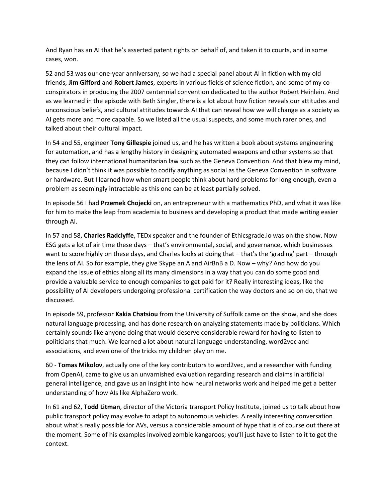And Ryan has an AI that he's asserted patent rights on behalf of, and taken it to courts, and in some cases, won.

52 and 53 was our one-year anniversary, so we had a special panel about AI in fiction with my old friends, **Jim Gifford** and **Robert James**, experts in various fields of science fiction, and some of my coconspirators in producing the 2007 centennial convention dedicated to the author Robert Heinlein. And as we learned in the episode with Beth Singler, there is a lot about how fiction reveals our attitudes and unconscious beliefs, and cultural attitudes towards AI that can reveal how we will change as a society as AI gets more and more capable. So we listed all the usual suspects, and some much rarer ones, and talked about their cultural impact.

In 54 and 55, engineer **Tony Gillespie** joined us, and he has written a book about systems engineering for automation, and has a lengthy history in designing automated weapons and other systems so that they can follow international humanitarian law such as the Geneva Convention. And that blew my mind, because I didn't think it was possible to codify anything as social as the Geneva Convention in software or hardware. But I learned how when smart people think about hard problems for long enough, even a problem as seemingly intractable as this one can be at least partially solved.

In episode 56 I had **Przemek Chojecki** on, an entrepreneur with a mathematics PhD, and what it was like for him to make the leap from academia to business and developing a product that made writing easier through AI.

In 57 and 58, **Charles Radclyffe**, TEDx speaker and the founder of Ethicsgrade.io was on the show. Now ESG gets a lot of air time these days – that's environmental, social, and governance, which businesses want to score highly on these days, and Charles looks at doing that – that's the 'grading' part – through the lens of AI. So for example, they give Skype an A and AirBnB a D. Now – why? And how do you expand the issue of ethics along all its many dimensions in a way that you can do some good and provide a valuable service to enough companies to get paid for it? Really interesting ideas, like the possibility of AI developers undergoing professional certification the way doctors and so on do, that we discussed.

In episode 59, professor **Kakia Chatsiou** from the University of Suffolk came on the show, and she does natural language processing, and has done research on analyzing statements made by politicians. Which certainly sounds like anyone doing that would deserve considerable reward for having to listen to politicians that much. We learned a lot about natural language understanding, word2vec and associations, and even one of the tricks my children play on me.

60 - **Tomas Mikolov**, actually one of the key contributors to word2vec, and a researcher with funding from OpenAI, came to give us an unvarnished evaluation regarding research and claims in artificial general intelligence, and gave us an insight into how neural networks work and helped me get a better understanding of how AIs like AlphaZero work.

In 61 and 62, **Todd Litman**, director of the Victoria transport Policy Institute, joined us to talk about how public transport policy may evolve to adapt to autonomous vehicles. A really interesting conversation about what's really possible for AVs, versus a considerable amount of hype that is of course out there at the moment. Some of his examples involved zombie kangaroos; you'll just have to listen to it to get the context.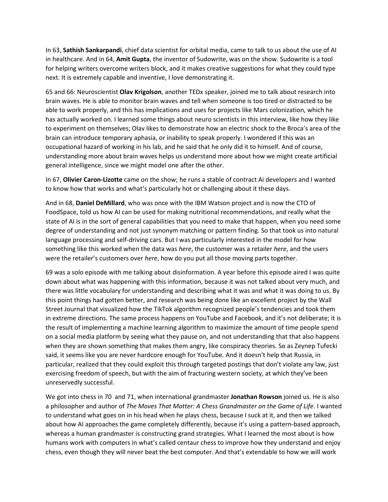In 63, **Sathish Sankarpandi**, chief data scientist for orbital media, came to talk to us about the use of AI in healthcare. And in 64, **Amit Gupta**, the inventor of Sudowrite, was on the show. Sudowrite is a tool for helping writers overcome writers block, and it makes creative suggestions for what they could type next. It is extremely capable and inventive, I love demonstrating it.

65 and 66: Neuroscientist **Olav Krigolson**, another TEDx speaker, joined me to talk about research into brain waves. He is able to monitor brain waves and tell when someone is too tired or distracted to be able to work properly, and this has implications and uses for projects like Mars colonization, which he has actually worked on. I learned some things about neuro scientists in this interview, like how they like to experiment on themselves; Olav likes to demonstrate how an electric shock to the Broca's area of the brain can introduce temporary aphasia, or inability to speak properly. I wondered if this was an occupational hazard of working in his lab, and he said that he only did it to himself. And of course, understanding more about brain waves helps us understand more about how we might create artificial general intelligence, since we might model one after the other.

In 67, **Olivier Caron-Lizotte** came on the show; he runs a stable of contract Ai developers and I wanted to know how that works and what's particularly hot or challenging about it these days.

And in 68, **Daniel DeMillard**, who was once with the IBM Watson project and is now the CTO of FoodSpace, told us how AI can be used for making nutritional recommendations, and really what the state of AI is in the sort of general capabilities that you need to make that happen, when you need some degree of understanding and not just synonym matching or pattern finding. So that took us into natural language processing and self-driving cars. But I was particularly interested in the model for how something like this worked when the data was *here*, the customer was a retailer *here*, and the users were the retailer's customers over *here*, how do you put all those moving parts together.

69 was a solo episode with me talking about disinformation. A year before this episode aired I was quite down about what was happening with this information, because it was not talked about very much, and there was little vocabulary for understanding and describing what it was and what it was doing to us. By this point things had gotten better, and research was being done like an excellent project by the Wall Street Journal that visualized how the TikTok algorithm recognized people's tendencies and took them in extreme directions. The same process happens on YouTube and Facebook, and it's not deliberate; it is the result of implementing a machine learning algorithm to maximize the amount of time people spend on a social media platform by seeing what they pause on, and not understanding that that also happens when they are shown something that makes them angry, like conspiracy theories. So as Zeynep Tufecki said, it seems like you are never hardcore enough for YouTube. And it doesn't help that Russia, in particular, realized that they could exploit this through targeted postings that don't violate any law, just exercising freedom of speech, but with the aim of fracturing western society, at which they've been unreservedly successful.

We got into chess in 70 and 71, when international grandmaster **Jonathan Rowson** joined us. He is also a philosopher and author of *The Moves That Matter: A Chess Grandmaster on the Game of Life*. I wanted to understand what goes on in his head when he plays chess, because I suck at it, and then we talked about how AI approaches the game completely differently, because it's using a pattern-based approach, whereas a human grandmaster is constructing grand strategies. What I learned the most about is how humans work with computers in what's called centaur chess to improve how they understand and enjoy chess, even though they will never beat the best computer. And that's extendable to how we will work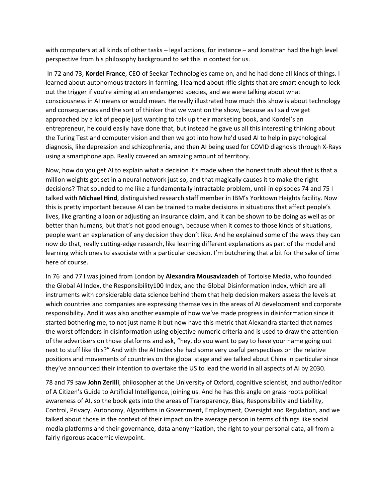with computers at all kinds of other tasks – legal actions, for instance – and Jonathan had the high level perspective from his philosophy background to set this in context for us.

In 72 and 73, **Kordel France**, CEO of Seekar Technologies came on, and he had done all kinds of things. I learned about autonomous tractors in farming, I learned about rifle sights that are smart enough to lock out the trigger if you're aiming at an endangered species, and we were talking about what consciousness in AI means or would mean. He really illustrated how much this show is about technology and consequences and the sort of thinker that we want on the show, because as I said we get approached by a lot of people just wanting to talk up their marketing book, and Kordel's an entrepreneur, he could easily have done that, but instead he gave us all this interesting thinking about the Turing Test and computer vision and then we got into how he'd used AI to help in psychological diagnosis, like depression and schizophrenia, and then AI being used for COVID diagnosis through X-Rays using a smartphone app. Really covered an amazing amount of territory.

Now, how do you get AI to explain what a decision it's made when the honest truth about that is that a million weights got set in a neural network just so, and that magically causes it to make the right decisions? That sounded to me like a fundamentally intractable problem, until in episodes 74 and 75 I talked with **Michael Hind**, distinguished research staff member in IBM's Yorktown Heights facility. Now this is pretty important because AI can be trained to make decisions in situations that affect people's lives, like granting a loan or adjusting an insurance claim, and it can be shown to be doing as well as or better than humans, but that's not good enough, because when it comes to those kinds of situations, people want an explanation of any decision they don't like. And he explained some of the ways they can now do that, really cutting-edge research, like learning different explanations as part of the model and learning which ones to associate with a particular decision. I'm butchering that a bit for the sake of time here of course.

In 76 and 77 I was joined from London by **Alexandra Mousavizadeh** of Tortoise Media, who founded the Global AI Index, the Responsibility100 Index, and the Global Disinformation Index, which are all instruments with considerable data science behind them that help decision makers assess the levels at which countries and companies are expressing themselves in the areas of AI development and corporate responsibility. And it was also another example of how we've made progress in disinformation since it started bothering me, to not just name it but now have this metric that Alexandra started that names the worst offenders in disinformation using objective numeric criteria and is used to draw the attention of the advertisers on those platforms and ask, "hey, do you want to pay to have your name going out next to stuff like this?" And with the AI Index she had some very useful perspectives on the relative positions and movements of countries on the global stage and we talked about China in particular since they've announced their intention to overtake the US to lead the world in all aspects of AI by 2030.

78 and 79 saw **John Zerilli**, philosopher at the University of Oxford, cognitive scientist, and author/editor of A Citizen's Guide to Artificial Intelligence, joining us. And he has this angle on grass roots political awareness of AI, so the book gets into the areas of Transparency, Bias, Responsibility and Liability, Control, Privacy, Autonomy, Algorithms in Government, Employment, Oversight and Regulation, and we talked about those in the context of their impact on the average person in terms of things like social media platforms and their governance, data anonymization, the right to your personal data, all from a fairly rigorous academic viewpoint.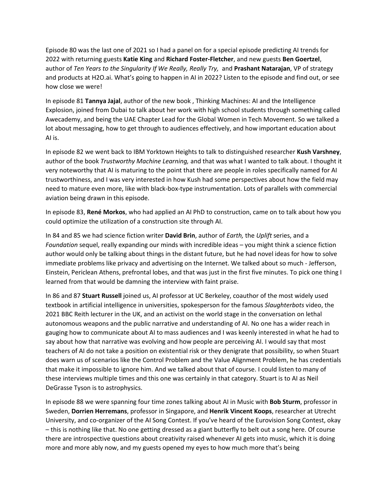Episode 80 was the last one of 2021 so I had a panel on for a special episode predicting AI trends for 2022 with returning guests **Katie King** and **Richard Foster-Fletcher**, and new guests **Ben Goertzel**, author of *Ten Years to the Singularity If We Really, Really Try,* and **Prashant Natarajan**, VP of strategy and products at H2O.ai. What's going to happen in AI in 2022? Listen to the episode and find out, or see how close we were!

In episode 81 **Tannya Jajal**, author of the new book , Thinking Machines: AI and the Intelligence Explosion, joined from Dubai to talk about her work with high school students through something called Awecademy, and being the UAE Chapter Lead for the Global Women in Tech Movement. So we talked a lot about messaging, how to get through to audiences effectively, and how important education about AI is.

In episode 82 we went back to IBM Yorktown Heights to talk to distinguished researcher **Kush Varshney**, author of the book *Trustworthy Machine Learning,* and that was what I wanted to talk about. I thought it very noteworthy that AI is maturing to the point that there are people in roles specifically named for AI trustworthiness, and I was very interested in how Kush had some perspectives about how the field may need to mature even more, like with black-box-type instrumentation. Lots of parallels with commercial aviation being drawn in this episode.

In episode 83, **René Morkos**, who had applied an AI PhD to construction, came on to talk about how you could optimize the utilization of a construction site through AI.

In 84 and 85 we had science fiction writer **David Brin**, author of *Earth,* the *Uplift* series, and a *Foundation* sequel, really expanding our minds with incredible ideas – you might think a science fiction author would only be talking about things in the distant future, but he had novel ideas for how to solve immediate problems like privacy and advertising on the Internet. We talked about so much - Jefferson, Einstein, Periclean Athens, prefrontal lobes, and that was just in the first five minutes. To pick one thing I learned from that would be damning the interview with faint praise.

In 86 and 87 **Stuart Russell** joined us, AI professor at UC Berkeley, coauthor of the most widely used textbook in artificial intelligence in universities, spokesperson for the famous *Slaughterbots* video, the 2021 BBC Reith lecturer in the UK, and an activist on the world stage in the conversation on lethal autonomous weapons and the public narrative and understanding of AI. No one has a wider reach in gauging how to communicate about AI to mass audiences and I was keenly interested in what he had to say about how that narrative was evolving and how people are perceiving AI. I would say that most teachers of AI do not take a position on existential risk or they denigrate that possibility, so when Stuart does warn us of scenarios like the Control Problem and the Value Alignment Problem, he has credentials that make it impossible to ignore him. And we talked about that of course. I could listen to many of these interviews multiple times and this one was certainly in that category. Stuart is to AI as Neil DeGrasse Tyson is to astrophysics.

In episode 88 we were spanning four time zones talking about AI in Music with **Bob Sturm**, professor in Sweden, **Dorrien Herremans**, professor in Singapore, and **Henrik Vincent Koops**, researcher at Utrecht University, and co-organizer of the AI Song Contest. If you've heard of the Eurovision Song Contest, okay – this is nothing like that. No one getting dressed as a giant butterfly to belt out a song here. Of course there are introspective questions about creativity raised whenever AI gets into music, which it is doing more and more ably now, and my guests opened my eyes to how much more that's being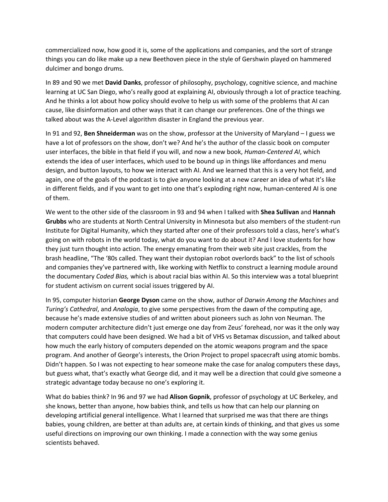commercialized now, how good it is, some of the applications and companies, and the sort of strange things you can do like make up a new Beethoven piece in the style of Gershwin played on hammered dulcimer and bongo drums.

In 89 and 90 we met **David Danks**, professor of philosophy, psychology, cognitive science, and machine learning at UC San Diego, who's really good at explaining AI, obviously through a lot of practice teaching. And he thinks a lot about how policy should evolve to help us with some of the problems that AI can cause, like disinformation and other ways that it can change our preferences. One of the things we talked about was the A-Level algorithm disaster in England the previous year.

In 91 and 92, **Ben Shneiderman** was on the show, professor at the University of Maryland – I guess we have a lot of professors on the show, don't we? And he's the author of the classic book on computer user interfaces, the bible in that field if you will, and now a new book, *Human-Centered AI*, which extends the idea of user interfaces, which used to be bound up in things like affordances and menu design, and button layouts, to how we interact with AI. And we learned that this is a very hot field, and again, one of the goals of the podcast is to give anyone looking at a new career an idea of what it's like in different fields, and if you want to get into one that's exploding right now, human-centered AI is one of them.

We went to the other side of the classroom in 93 and 94 when I talked with **Shea Sullivan** and **Hannah Grubbs** who are students at North Central University in Minnesota but also members of the student-run Institute for Digital Humanity, which they started after one of their professors told a class, here's what's going on with robots in the world today, what do you want to do about it? And I love students for how they just turn thought into action. The energy emanating from their web site just crackles, from the brash headline, "The '80s called. They want their dystopian robot overlords back" to the list of schools and companies they've partnered with, like working with Netflix to construct a learning module around the documentary *Coded Bias,* which is about racial bias within AI. So this interview was a total blueprint for student activism on current social issues triggered by AI.

In 95, computer historian **George Dyson** came on the show, author of *Darwin Among the Machines* and *Turing's Cathedral*, and *Analogia*, to give some perspectives from the dawn of the computing age, because he's made extensive studies of and written about pioneers such as John von Neuman. The modern computer architecture didn't just emerge one day from Zeus' forehead, nor was it the only way that computers could have been designed. We had a bit of VHS vs Betamax discussion, and talked about how much the early history of computers depended on the atomic weapons program and the space program. And another of George's interests, the Orion Project to propel spacecraft using atomic bombs. Didn't happen. So I was not expecting to hear someone make the case for analog computers these days, but guess what, that's exactly what George did, and it may well be a direction that could give someone a strategic advantage today because no one's exploring it.

What do babies think? In 96 and 97 we had **Alison Gopnik**, professor of psychology at UC Berkeley, and she knows, better than anyone, how babies think, and tells us how that can help our planning on developing artificial general intelligence. What I learned that surprised me was that there are things babies, young children, are better at than adults are, at certain kinds of thinking, and that gives us some useful directions on improving our own thinking. I made a connection with the way some genius scientists behaved.